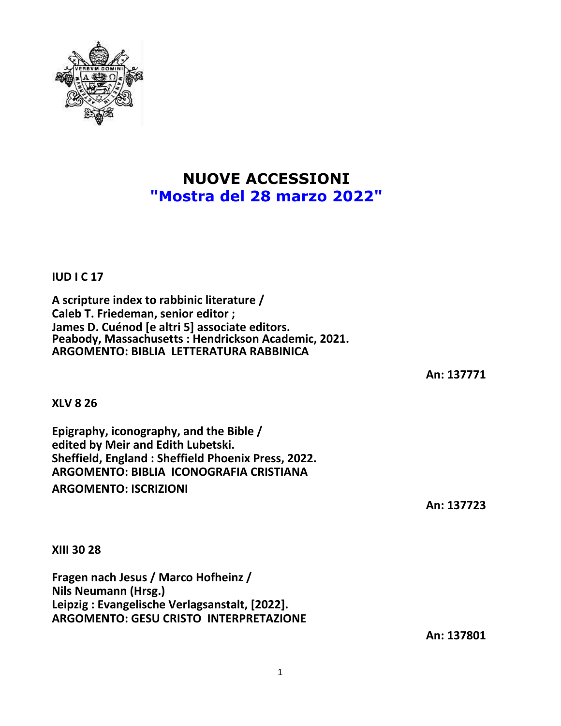

## **NUOVE ACCESSIONI "Mostra del 28 marzo 2022"**

**IUD I C 17**

**A scripture index to rabbinic literature / Caleb T. Friedeman, senior editor ; James D. Cuénod [e altri 5] associate editors. Peabody, Massachusetts : Hendrickson Academic, 2021. ARGOMENTO: BIBLIA LETTERATURA RABBINICA**

**An: 137771**

**XLV 8 26**

**Epigraphy, iconography, and the Bible / edited by Meir and Edith Lubetski. Sheffield, England : Sheffield Phoenix Press, 2022. ARGOMENTO: BIBLIA ICONOGRAFIA CRISTIANA**

**ARGOMENTO: ISCRIZIONI**

**An: 137723**

**XIII 30 28**

**Fragen nach Jesus / Marco Hofheinz / Nils Neumann (Hrsg.) Leipzig : Evangelische Verlagsanstalt, [2022]. ARGOMENTO: GESU CRISTO INTERPRETAZIONE**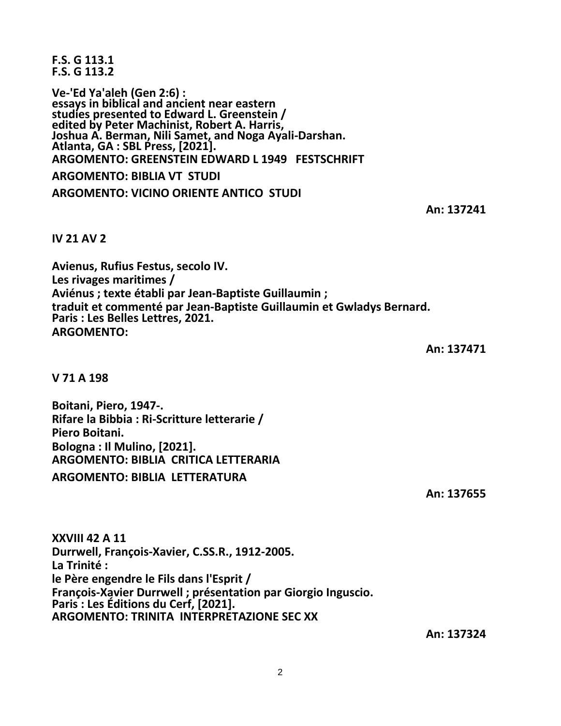**F.S. G 113.1 F.S. G 113.2**

**Ve-'Ed Ya'aleh (Gen 2:6) : essays in biblical and ancient near eastern studies presented to Edward L. Greenstein / edited by Peter Machinist, Robert A. Harris, Joshua A. Berman, Nili Samet, and Noga Ayali-Darshan. Atlanta, GA : SBL Press, [2021]. ARGOMENTO: GREENSTEIN EDWARD L 1949 FESTSCHRIFT ARGOMENTO: BIBLIA VT STUDI ARGOMENTO: VICINO ORIENTE ANTICO STUDI**

**An: 137241**

**IV 21 AV 2**

**Avienus, Rufius Festus, secolo IV. Les rivages maritimes / Aviénus ; texte établi par Jean-Baptiste Guillaumin ; traduit et commenté par Jean-Baptiste Guillaumin et Gwladys Bernard. Paris : Les Belles Lettres, 2021. ARGOMENTO:**

**An: 137471**

**V 71 A 198**

**Boitani, Piero, 1947-. Rifare la Bibbia : Ri-Scritture letterarie / Piero Boitani. Bologna : Il Mulino, [2021]. ARGOMENTO: BIBLIA CRITICA LETTERARIA ARGOMENTO: BIBLIA LETTERATURA**

**An: 137655**

**XXVIII 42 A 11 Durrwell, François-Xavier, C.SS.R., 1912-2005. La Trinité : le Père engendre le Fils dans l'Esprit / François-Xavier Durrwell ; présentation par Giorgio Inguscio. Paris : Les Éditions du Cerf, [2021]. ARGOMENTO: TRINITA INTERPRETAZIONE SEC XX**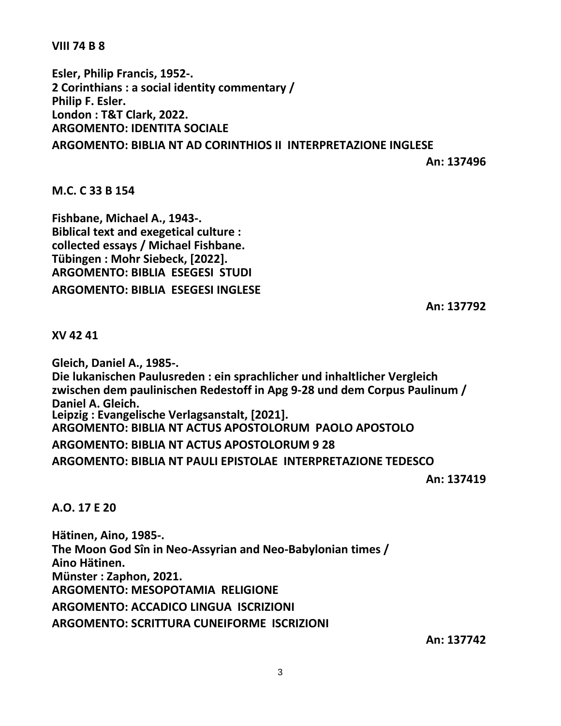**VIII 74 B 8**

**Esler, Philip Francis, 1952-. 2 Corinthians : a social identity commentary / Philip F. Esler. London : T&T Clark, 2022. ARGOMENTO: IDENTITA SOCIALE ARGOMENTO: BIBLIA NT AD CORINTHIOS II INTERPRETAZIONE INGLESE**

**An: 137496**

## **M.C. C 33 B 154**

**Fishbane, Michael A., 1943-. Biblical text and exegetical culture : collected essays / Michael Fishbane. Tübingen : Mohr Siebeck, [2022]. ARGOMENTO: BIBLIA ESEGESI STUDI ARGOMENTO: BIBLIA ESEGESI INGLESE**

**An: 137792**

**XV 42 41**

**Gleich, Daniel A., 1985-. Die lukanischen Paulusreden : ein sprachlicher und inhaltlicher Vergleich zwischen dem paulinischen Redestoff in Apg 9-28 und dem Corpus Paulinum / Daniel A. Gleich. Leipzig : Evangelische Verlagsanstalt, [2021]. ARGOMENTO: BIBLIA NT ACTUS APOSTOLORUM PAOLO APOSTOLO ARGOMENTO: BIBLIA NT ACTUS APOSTOLORUM 9 28 ARGOMENTO: BIBLIA NT PAULI EPISTOLAE INTERPRETAZIONE TEDESCO**

**An: 137419**

**A.O. 17 E 20**

**Hätinen, Aino, 1985-. The Moon God Sîn in Neo-Assyrian and Neo-Babylonian times / Aino Hätinen. Münster : Zaphon, 2021. ARGOMENTO: MESOPOTAMIA RELIGIONE ARGOMENTO: ACCADICO LINGUA ISCRIZIONI ARGOMENTO: SCRITTURA CUNEIFORME ISCRIZIONI**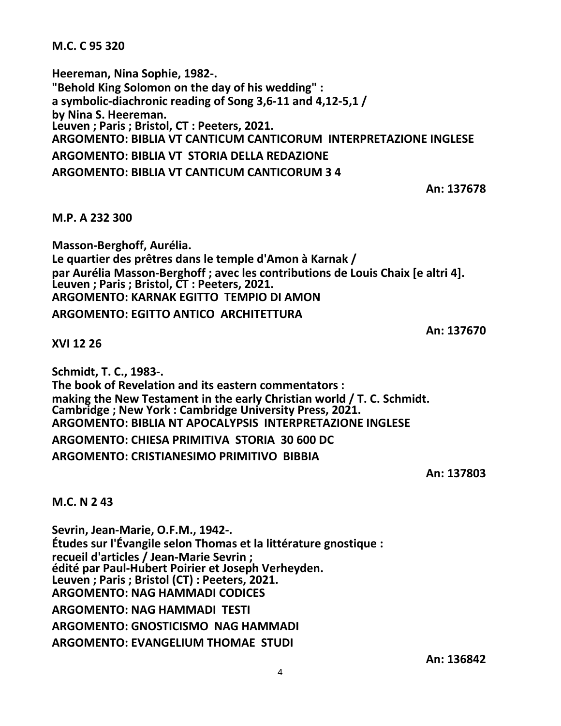**M.C. C 95 320**

**Heereman, Nina Sophie, 1982-. "Behold King Solomon on the day of his wedding" : a symbolic-diachronic reading of Song 3,6-11 and 4,12-5,1 / by Nina S. Heereman. Leuven ; Paris ; Bristol, CT : Peeters, 2021. ARGOMENTO: BIBLIA VT CANTICUM CANTICORUM INTERPRETAZIONE INGLESE ARGOMENTO: BIBLIA VT STORIA DELLA REDAZIONE ARGOMENTO: BIBLIA VT CANTICUM CANTICORUM 3 4**

**An: 137678**

**M.P. A 232 300**

**Masson-Berghoff, Aurélia. Le quartier des prêtres dans le temple d'Amon à Karnak / par Aurélia Masson-Berghoff ; avec les contributions de Louis Chaix [e altri 4]. Leuven ; Paris ; Bristol, CT : Peeters, 2021. ARGOMENTO: KARNAK EGITTO TEMPIO DI AMON**

**ARGOMENTO: EGITTO ANTICO ARCHITETTURA**

**An: 137670**

**XVI 12 26**

**Schmidt, T. C., 1983-.**

**The book of Revelation and its eastern commentators : making the New Testament in the early Christian world / T. C. Schmidt. Cambridge ; New York : Cambridge University Press, 2021. ARGOMENTO: BIBLIA NT APOCALYPSIS INTERPRETAZIONE INGLESE ARGOMENTO: CHIESA PRIMITIVA STORIA 30 600 DC**

**ARGOMENTO: CRISTIANESIMO PRIMITIVO BIBBIA**

**An: 137803**

**M.C. N 2 43**

**Sevrin, Jean-Marie, O.F.M., 1942-. Études sur l'Évangile selon Thomas et la littérature gnostique : recueil d'articles / Jean-Marie Sevrin ; édité par Paul-Hubert Poirier et Joseph Verheyden. Leuven ; Paris ; Bristol (CT) : Peeters, 2021. ARGOMENTO: NAG HAMMADI CODICES ARGOMENTO: NAG HAMMADI TESTI ARGOMENTO: GNOSTICISMO NAG HAMMADI ARGOMENTO: EVANGELIUM THOMAE STUDI**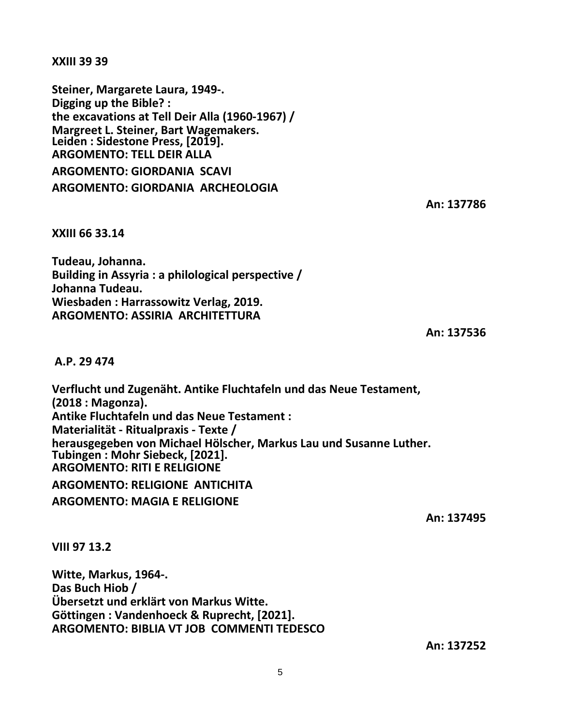**XXIII 39 39**

**Steiner, Margarete Laura, 1949-. Digging up the Bible? : the excavations at Tell Deir Alla (1960-1967) / Margreet L. Steiner, Bart Wagemakers. Leiden : Sidestone Press, [2019]. ARGOMENTO: TELL DEIR ALLA ARGOMENTO: GIORDANIA SCAVI ARGOMENTO: GIORDANIA ARCHEOLOGIA**

**An: 137786**

**XXIII 66 33.14**

**Tudeau, Johanna. Building in Assyria : a philological perspective / Johanna Tudeau. Wiesbaden : Harrassowitz Verlag, 2019. ARGOMENTO: ASSIRIA ARCHITETTURA**

**An: 137536**

## **A.P. 29 474**

**Verflucht und Zugenäht. Antike Fluchtafeln und das Neue Testament, (2018 : Magonza). Antike Fluchtafeln und das Neue Testament : Materialität - Ritualpraxis - Texte / herausgegeben von Michael Hölscher, Markus Lau und Susanne Luther. Tubingen : Mohr Siebeck, [2021]. ARGOMENTO: RITI E RELIGIONE**

**ARGOMENTO: RELIGIONE ANTICHITA**

**ARGOMENTO: MAGIA E RELIGIONE**

**An: 137495**

**VIII 97 13.2**

**Witte, Markus, 1964-. Das Buch Hiob / Übersetzt und erklärt von Markus Witte. Göttingen : Vandenhoeck & Ruprecht, [2021]. ARGOMENTO: BIBLIA VT JOB COMMENTI TEDESCO**